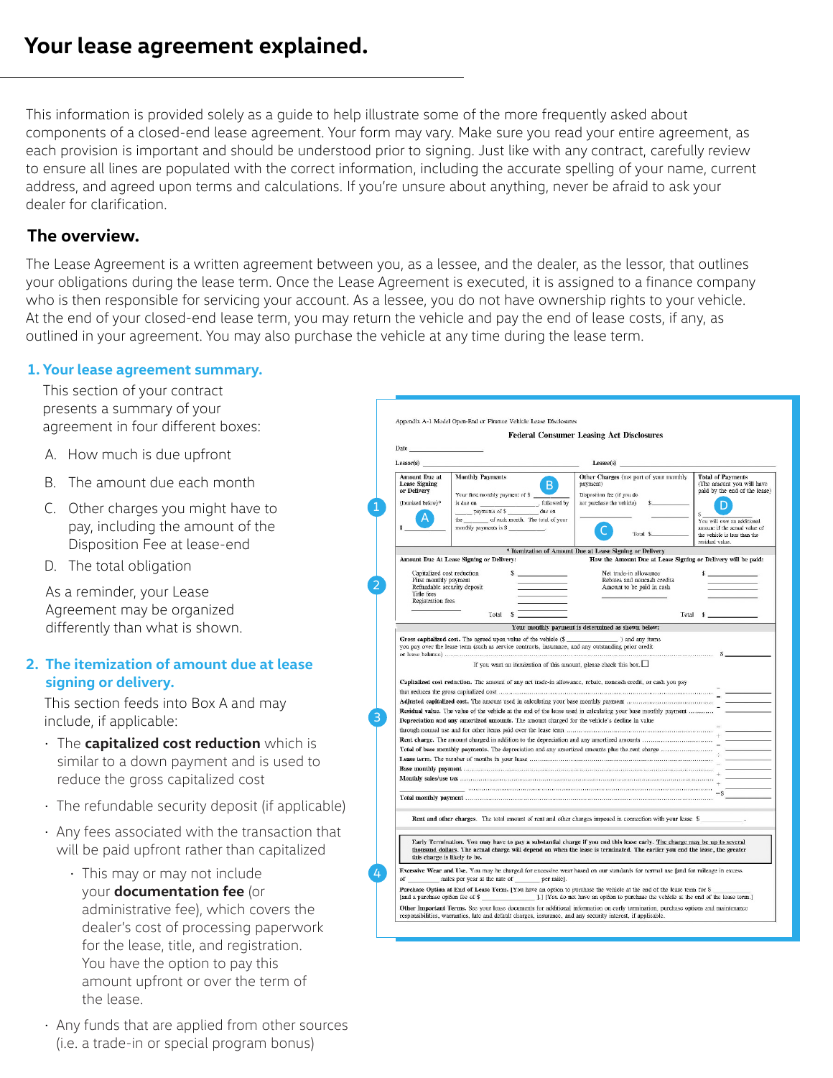This information is provided solely as a guide to help illustrate some of the more frequently asked about components of a closed-end lease agreement. Your form may vary. Make sure you read your entire agreement, as each provision is important and should be understood prior to signing. Just like with any contract, carefully review to ensure all lines are populated with the correct information, including the accurate spelling of your name, current address, and agreed upon terms and calculations. If you're unsure about anything, never be afraid to ask your dealer for clarification.

# **The overview.**

The Lease Agreement is a written agreement between you, as a lessee, and the dealer, as the lessor, that outlines your obligations during the lease term. Once the Lease Agreement is executed, it is assigned to a finance company who is then responsible for servicing your account. As a lessee, you do not have ownership rights to your vehicle. At the end of your closed-end lease term, you may return the vehicle and pay the end of lease costs, if any, as outlined in your agreement. You may also purchase the vehicle at any time during the lease term.

## **1. Your lease agreement summary.**

This section of your contract presents a summary of your agreement in four different boxes:

- A. How much is due upfront
- B. The amount due each month
- C. Other charges you might have to pay, including the amount of the Disposition Fee at lease-end
- D. The total obligation

As a reminder, your Lease Agreement may be organized differently than what is shown.

### **2. The itemization of amount due at lease signing or delivery.**

This section feeds into Box A and may include, if applicable:

- The **capitalized cost reduction** which is similar to a down payment and is used to reduce the gross capitalized cost
- The refundable security deposit (if applicable)
- Any fees associated with the transaction that will be paid upfront rather than capitalized
	- This may or may not include your **documentation fee** (or administrative fee), which covers the dealer's cost of processing paperwork for the lease, title, and registration. You have the option to pay this amount upfront or over the term of the lease.
- Any funds that are applied from other sources (i.e. a trade-in or special program bonus)

|                                                                                                                                                                                                                               |                                                                                                                                                                                                                                                                                                                                  | <b>Federal Consumer Leasing Act Disclosures</b>                                                                          |                                                                                        |
|-------------------------------------------------------------------------------------------------------------------------------------------------------------------------------------------------------------------------------|----------------------------------------------------------------------------------------------------------------------------------------------------------------------------------------------------------------------------------------------------------------------------------------------------------------------------------|--------------------------------------------------------------------------------------------------------------------------|----------------------------------------------------------------------------------------|
| Date has been as a series of the series of the series of the series of the series of the series of the series of the series of the series of the series of the series of the series of the series of the series of the series |                                                                                                                                                                                                                                                                                                                                  |                                                                                                                          |                                                                                        |
| Lessor(s)                                                                                                                                                                                                                     |                                                                                                                                                                                                                                                                                                                                  | Lesse(s)                                                                                                                 |                                                                                        |
| Amount Due at<br><b>Lease Signing</b><br>or Delivery                                                                                                                                                                          | <b>Monthly Payments</b><br>B.<br>Your first monthly payment of \$                                                                                                                                                                                                                                                                | Other Charges (not part of your monthly<br>payment)<br>Disposition fee (if you do                                        | <b>Total of Payments</b><br>(The amount you will have<br>paid by the end of the lease) |
| (Itemized below)*                                                                                                                                                                                                             | the of each month. The total of your                                                                                                                                                                                                                                                                                             | not purchase the vehicle)                                                                                                | You will owe an additional                                                             |
|                                                                                                                                                                                                                               | monthly payments is \$                                                                                                                                                                                                                                                                                                           | To:al \$                                                                                                                 | amount if the actual value of<br>the vehicle is less than the<br>residual value.       |
|                                                                                                                                                                                                                               |                                                                                                                                                                                                                                                                                                                                  | * Itemization of Amount Due at Lease Signing or Delivery                                                                 |                                                                                        |
|                                                                                                                                                                                                                               | Amount Due At Lease Signing or Delivery:                                                                                                                                                                                                                                                                                         | How the Amount Due at Lease Signing or Delivery will be paid:                                                            |                                                                                        |
| Capitalized cost reduction<br>First monthly payment<br>Refundable security deposit<br>Title fees<br>Registration fees                                                                                                         |                                                                                                                                                                                                                                                                                                                                  | Net trade-in allowance<br>Rebates and noncash credits<br>Amount to be paid in cash                                       |                                                                                        |
|                                                                                                                                                                                                                               | Total<br>\$                                                                                                                                                                                                                                                                                                                      |                                                                                                                          | Total \$                                                                               |
|                                                                                                                                                                                                                               |                                                                                                                                                                                                                                                                                                                                  | Your monthly payment is determined as shown below:                                                                       |                                                                                        |
|                                                                                                                                                                                                                               | Capitalized cost reduction. The amount of any net trade-in allowance, rebate, noncash credit, or cash you pay<br>Residual value. The value of the vehicle at the end of the lease used in calculating your base monthly payment<br>Depreciation and any amortized amounts. The amount charged for the vehicle's decline in value |                                                                                                                          |                                                                                        |
|                                                                                                                                                                                                                               |                                                                                                                                                                                                                                                                                                                                  |                                                                                                                          |                                                                                        |
|                                                                                                                                                                                                                               |                                                                                                                                                                                                                                                                                                                                  |                                                                                                                          |                                                                                        |
|                                                                                                                                                                                                                               |                                                                                                                                                                                                                                                                                                                                  |                                                                                                                          |                                                                                        |
|                                                                                                                                                                                                                               |                                                                                                                                                                                                                                                                                                                                  |                                                                                                                          |                                                                                        |
|                                                                                                                                                                                                                               | Rent and other charges. The total amount of rent and other charges imposed in connection with your lease \$                                                                                                                                                                                                                      |                                                                                                                          |                                                                                        |
|                                                                                                                                                                                                                               |                                                                                                                                                                                                                                                                                                                                  | Early Termination. You may have to pay a substantial charge if you end this lease early. The charge may be up to several |                                                                                        |
| this charge is likely to be.                                                                                                                                                                                                  | thousand dollars. The actual charge will depend on when the lease is terminated. The earlier you end the lease, the greater                                                                                                                                                                                                      |                                                                                                                          |                                                                                        |
| of                                                                                                                                                                                                                            | Excessive Wear and Use. You may be charged for excessive wear based on our standards for normal use [and for mileage in excess<br>miles per year at the rate of per mile].                                                                                                                                                       |                                                                                                                          |                                                                                        |